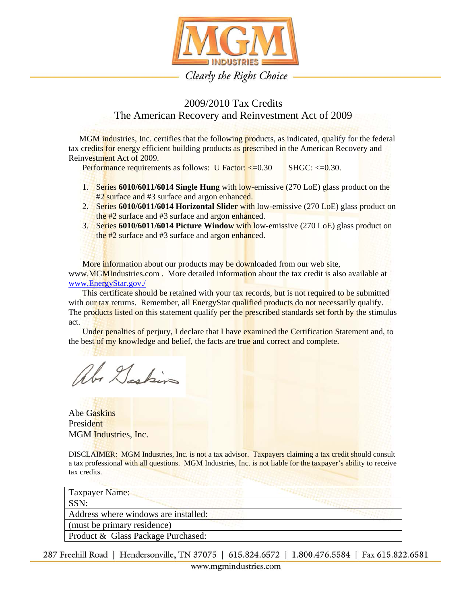

## 2009/2010 Tax Credits The American Recovery and Reinvestment Act of 2009

MGM industries, Inc. certifies that the following products, as indicated, qualify for the federal tax credits for energy efficient building products as prescribed in the American Recovery and Reinvestment Act of 2009.

Performance requirements as follows: U Factor: <= 0.30 SHGC: <= 0.30.

- 1. Series **6010/6011/6014 Single Hung** with low-emissive (270 LoE) glass product on the #2 surface and #3 surface and argon enhanced.
- 2. Series **6010/6011/6014 Horizontal Slider** with low-emissive (270 LoE) glass product on the #2 surface and #3 surface and argon enhanced.
- 3. Series **6010/6011/6014 Picture Window** with low-emissive (270 LoE) glass product on the  $#2$  surface and  $#3$  surface and argon enhanced.

More information about our products may be downloaded from our web site, www.MGMIndustries.com. More detailed information about the tax credit is also available at www.EnergyStar.gov./

This certificate should be retained with your tax records, but is not required to be submitted with our tax returns. Remember, all EnergyStar qualified products do not necessarily qualify. The products listed on this statement qualify per the prescribed standards set forth by the stimulus act.

Under penalties of perjury, I declare that I have examined the Certification Statement and, to the best of my knowledge and belief, the facts are true and correct and complete.

Abe Daskin

Abe Gaskins President MGM Industries, Inc.

DISCLAIMER: MGM Industries, Inc. is not a tax advisor. Taxpayers claiming a tax credit should consult a tax professional with all questions. MGM Industries, Inc. is not liable for the taxpayer's ability to receive tax credits.

| Taxpayer Name:                       |  |
|--------------------------------------|--|
| SSN:                                 |  |
| Address where windows are installed: |  |
| (must be primary residence)          |  |
| Product & Glass Package Purchased:   |  |
|                                      |  |

287 Freehill Road | Hendersonville, TN 37075 | 615.824.6572 | 1.800.476.5584 | Fax 615.822.6581